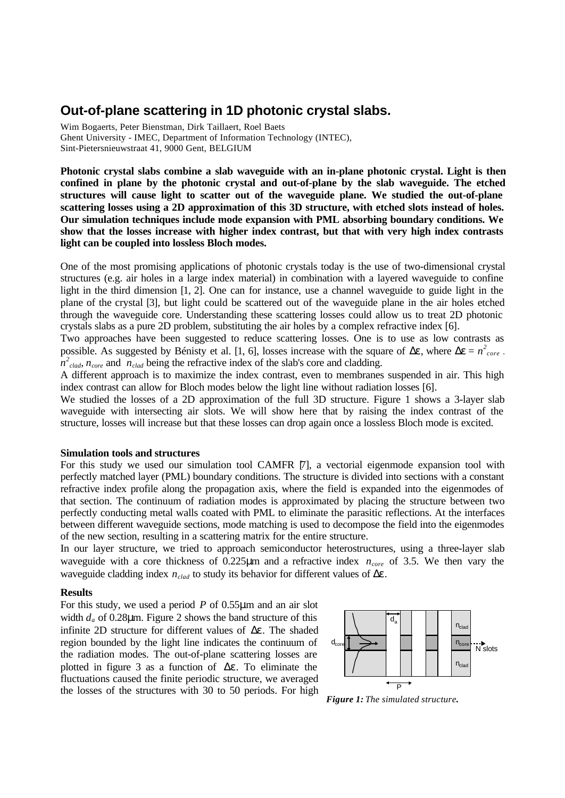# **Out-of-plane scattering in 1D photonic crystal slabs.**

Wim Bogaerts, Peter Bienstman, Dirk Taillaert, Roel Baets Ghent University - IMEC, Department of Information Technology (INTEC), Sint-Pietersnieuwstraat 41, 9000 Gent, BELGIUM

**Photonic crystal slabs combine a slab waveguide with an in-plane photonic crystal. Light is then confined in plane by the photonic crystal and out-of-plane by the slab waveguide. The etched structures will cause light to scatter out of the waveguide plane. We studied the out-of-plane scattering losses using a 2D approximation of this 3D structure, with etched slots instead of holes. Our simulation techniques include mode expansion with PML absorbing boundary conditions. We show that the losses increase with higher index contrast, but that with very high index contrasts light can be coupled into lossless Bloch modes.**

One of the most promising applications of photonic crystals today is the use of two-dimensional crystal structures (e.g. air holes in a large index material) in combination with a layered waveguide to confine light in the third dimension [1, 2]. One can for instance, use a channel waveguide to guide light in the plane of the crystal [3], but light could be scattered out of the waveguide plane in the air holes etched through the waveguide core. Understanding these scattering losses could allow us to treat 2D photonic crystals slabs as a pure 2D problem, substituting the air holes by a complex refractive index [6].

Two approaches have been suggested to reduce scattering losses. One is to use as low contrasts as possible. As suggested by Bénisty et al. [1, 6], losses increase with the square of  $\Delta \epsilon$ , where  $\Delta \epsilon = n^2_{core}$ .  $\hat{n}^2_{\text{clad}}$ ,  $n_{\text{core}}$  and  $n_{\text{clad}}$  being the refractive index of the slab's core and cladding.

A different approach is to maximize the index contrast, even to membranes suspended in air. This high index contrast can allow for Bloch modes below the light line without radiation losses [6].

We studied the losses of a 2D approximation of the full 3D structure. Figure 1 shows a 3-layer slab waveguide with intersecting air slots. We will show here that by raising the index contrast of the structure, losses will increase but that these losses can drop again once a lossless Bloch mode is excited.

# **Simulation tools and structures**

For this study we used our simulation tool CAMFR [7], a vectorial eigenmode expansion tool with perfectly matched layer (PML) boundary conditions. The structure is divided into sections with a constant refractive index profile along the propagation axis, where the field is expanded into the eigenmodes of that section. The continuum of radiation modes is approximated by placing the structure between two perfectly conducting metal walls coated with PML to eliminate the parasitic reflections. At the interfaces between different waveguide sections, mode matching is used to decompose the field into the eigenmodes of the new section, resulting in a scattering matrix for the entire structure.

In our layer structure, we tried to approach semiconductor heterostructures, using a three-layer slab waveguide with a core thickness of 0.225μm and a refractive index *ncore* of 3.5. We then vary the waveguide cladding index *nclad* to study its behavior for different values of Δε.

### **Results**

For this study, we used a period *P* of 0.55μm and an air slot width  $d_a$  of 0.28 $\mu$ m. Figure 2 shows the band structure of this infinite 2D structure for different values of Δε. The shaded region bounded by the light line indicates the continuum of the radiation modes. The out-of-plane scattering losses are plotted in figure 3 as a function of  $\Delta \varepsilon$ . To eliminate the fluctuations caused the finite periodic structure, we averaged the losses of the structures with 30 to 50 periods. For high



*Figure 1: The simulated structure.*